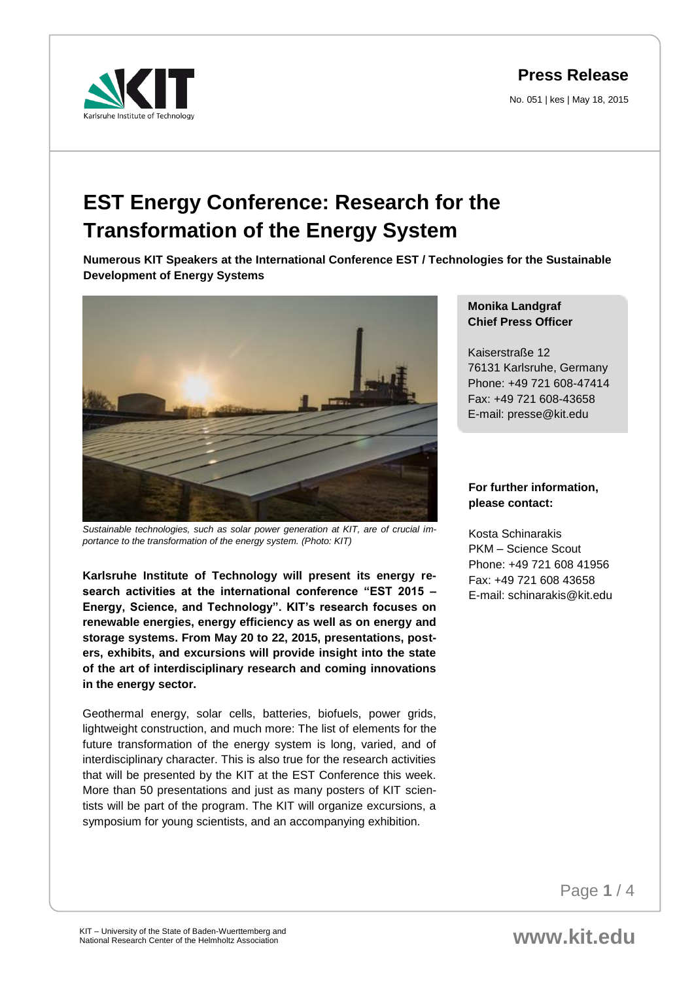**Press Release**

No. 051 | kes | May 18, 2015



## **EST Energy Conference: Research for the Transformation of the Energy System**

**Numerous KIT Speakers at the International Conference EST / Technologies for the Sustainable Development of Energy Systems** 



*Sustainable technologies, such as solar power generation at KIT, are of crucial importance to the transformation of the energy system. (Photo: KIT)*

**Karlsruhe Institute of Technology will present its energy research activities at the international conference "EST 2015 – Energy, Science, and Technology". KIT's research focuses on renewable energies, energy efficiency as well as on energy and storage systems. From May 20 to 22, 2015, presentations, posters, exhibits, and excursions will provide insight into the state of the art of interdisciplinary research and coming innovations in the energy sector.** 

Geothermal energy, solar cells, batteries, biofuels, power grids, lightweight construction, and much more: The list of elements for the future transformation of the energy system is long, varied, and of interdisciplinary character. This is also true for the research activities that will be presented by the KIT at the EST Conference this week. More than 50 presentations and just as many posters of KIT scientists will be part of the program. The KIT will organize excursions, a symposium for young scientists, and an accompanying exhibition.

**Monika Landgraf Chief Press Officer** 

Kaiserstraße 12 76131 Karlsruhe, Germany Phone: +49 721 608-47414 Fax: +49 721 608-43658 E-mail: presse@kit.edu

## **For further information, please contact:**

Kosta Schinarakis PKM – Science Scout Phone: +49 721 608 41956 Fax: +49 721 608 43658 E-mail: schinarakis@kit.edu

Page **1** / 4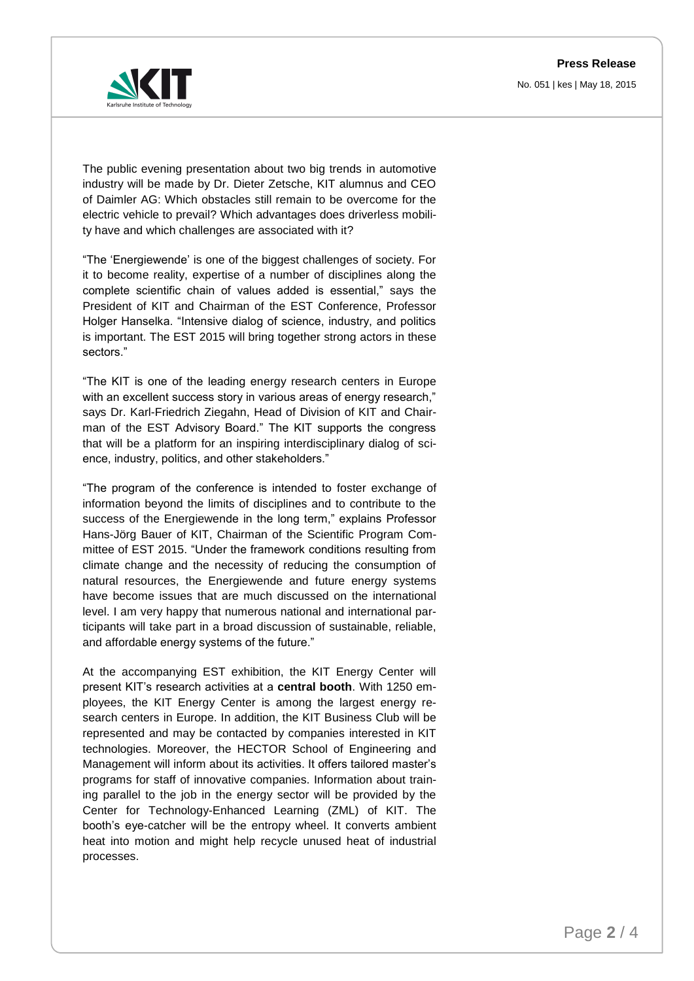**Press Release**

No. 051 | kes | May 18, 2015



The public evening presentation about two big trends in automotive industry will be made by Dr. Dieter Zetsche, KIT alumnus and CEO of Daimler AG: Which obstacles still remain to be overcome for the electric vehicle to prevail? Which advantages does driverless mobility have and which challenges are associated with it?

"The 'Energiewende' is one of the biggest challenges of society. For it to become reality, expertise of a number of disciplines along the complete scientific chain of values added is essential," says the President of KIT and Chairman of the EST Conference, Professor Holger Hanselka. "Intensive dialog of science, industry, and politics is important. The EST 2015 will bring together strong actors in these sectors."

"The KIT is one of the leading energy research centers in Europe with an excellent success story in various areas of energy research," says Dr. Karl-Friedrich Ziegahn, Head of Division of KIT and Chairman of the EST Advisory Board." The KIT supports the congress that will be a platform for an inspiring interdisciplinary dialog of science, industry, politics, and other stakeholders."

"The program of the conference is intended to foster exchange of information beyond the limits of disciplines and to contribute to the success of the Energiewende in the long term," explains Professor Hans-Jörg Bauer of KIT, Chairman of the Scientific Program Committee of EST 2015. "Under the framework conditions resulting from climate change and the necessity of reducing the consumption of natural resources, the Energiewende and future energy systems have become issues that are much discussed on the international level. I am very happy that numerous national and international participants will take part in a broad discussion of sustainable, reliable, and affordable energy systems of the future."

At the accompanying EST exhibition, the KIT Energy Center will present KIT's research activities at a **central booth**. With 1250 employees, the KIT Energy Center is among the largest energy research centers in Europe. In addition, the KIT Business Club will be represented and may be contacted by companies interested in KIT technologies. Moreover, the HECTOR School of Engineering and Management will inform about its activities. It offers tailored master's programs for staff of innovative companies. Information about training parallel to the job in the energy sector will be provided by the Center for Technology-Enhanced Learning (ZML) of KIT. The booth's eye-catcher will be the entropy wheel. It converts ambient heat into motion and might help recycle unused heat of industrial processes.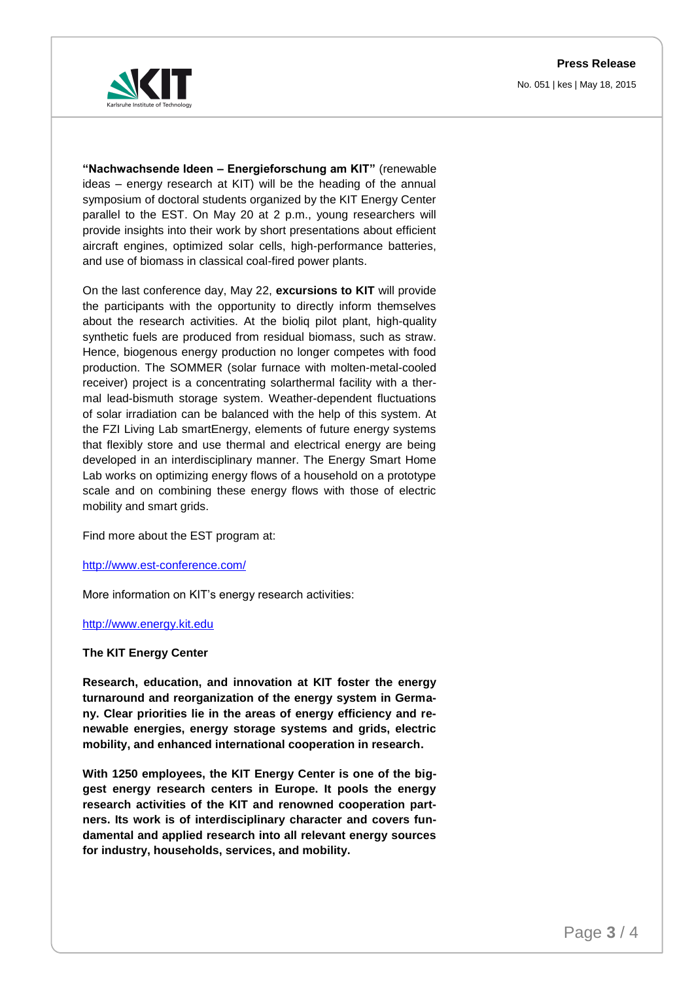**Press Release** No. 051 | kes | May 18, 2015



**"Nachwachsende Ideen – Energieforschung am KIT"** (renewable ideas – energy research at KIT) will be the heading of the annual symposium of doctoral students organized by the KIT Energy Center parallel to the EST. On May 20 at 2 p.m., young researchers will provide insights into their work by short presentations about efficient aircraft engines, optimized solar cells, high-performance batteries, and use of biomass in classical coal-fired power plants.

On the last conference day, May 22, **excursions to KIT** will provide the participants with the opportunity to directly inform themselves about the research activities. At the bioliq pilot plant, high-quality synthetic fuels are produced from residual biomass, such as straw. Hence, biogenous energy production no longer competes with food production. The SOMMER (solar furnace with molten-metal-cooled receiver) project is a concentrating solarthermal facility with a thermal lead-bismuth storage system. Weather-dependent fluctuations of solar irradiation can be balanced with the help of this system. At the FZI Living Lab smartEnergy, elements of future energy systems that flexibly store and use thermal and electrical energy are being developed in an interdisciplinary manner. The Energy Smart Home Lab works on optimizing energy flows of a household on a prototype scale and on combining these energy flows with those of electric mobility and smart grids.

Find more about the EST program at:

<http://www.est-conference.com/>

More information on KIT's energy research activities:

[http://www.energy.kit.edu](http://www.energy.kit.edu/)

## **The KIT Energy Center**

**Research, education, and innovation at KIT foster the energy turnaround and reorganization of the energy system in Germany. Clear priorities lie in the areas of energy efficiency and renewable energies, energy storage systems and grids, electric mobility, and enhanced international cooperation in research.** 

**With 1250 employees, the KIT Energy Center is one of the biggest energy research centers in Europe. It pools the energy research activities of the KIT and renowned cooperation partners. Its work is of interdisciplinary character and covers fundamental and applied research into all relevant energy sources for industry, households, services, and mobility.**